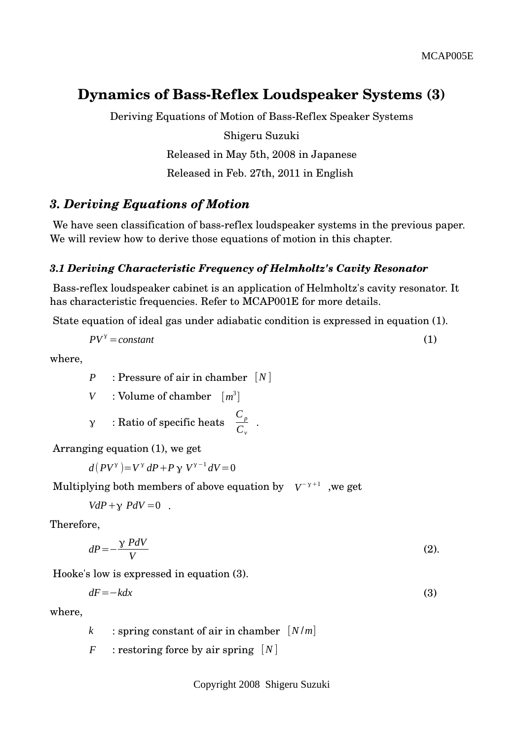# **Dynamics of Bass-Reflex Loudspeaker Systems (3)**

Deriving Equations of Motion of Bass-Reflex Speaker Systems Shigeru Suzuki Released in May 5th, 2008 in Japanese Released in Feb. 27th, 2011 in English

## *3. Deriving Equations of Motion*

We have seen classification of bass-reflex loudspeaker systems in the previous paper. We will review how to derive those equations of motion in this chapter.

### *3.1 Deriving Characteristic Frequency of Helmholtz's Cavity Resonator*

 Bassreflex loudspeaker cabinet is an application of Helmholtz's cavity resonator. It has characteristic frequencies. Refer to MCAP001E for more details.

State equation of ideal gas under adiabatic condition is expressed in equation (1).

$$
PV^{\gamma} = \text{constant} \tag{1}
$$

.

where,

*P* : Pressure of air in chamber [*N* ]

*V* : Volume of chamber [*m* 3 ]

$$
\gamma
$$
 : Ratio of specific heats  $\frac{C_p}{C_v}$ 

Arranging equation (1), we get

 $d(PV^{\gamma}) = V^{\gamma} dP + P \gamma V^{\gamma-1} dV = 0$ 

Multiplying both members of above equation by 
$$
V^{-\gamma+1}
$$
, we get

$$
VdP + \gamma PdV = 0 .
$$

Therefore,

$$
dP = -\frac{\gamma P dV}{V} \tag{2}
$$

Hooke's low is expressed in equation (3).

$$
dF = -kdx \tag{3}
$$

where,

*k* : spring constant of air in chamber [*N* /*m*]

*F* : restoring force by air spring  $[N]$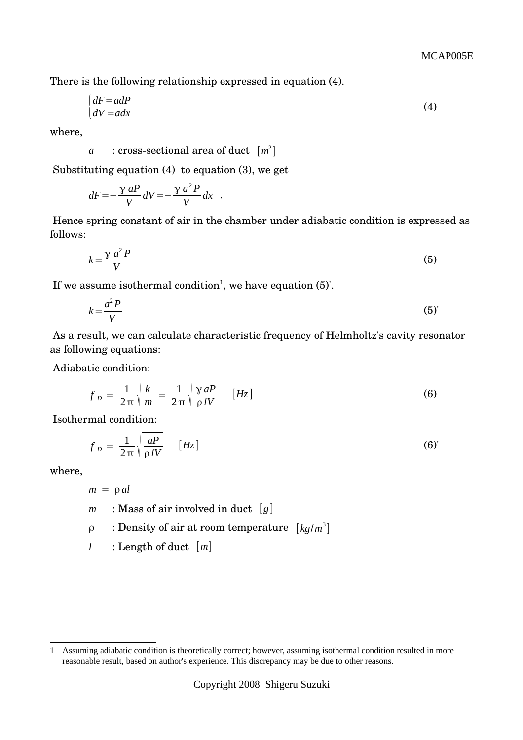There is the following relationship expressed in equation (4).

$$
\begin{cases} dF = adP \\ dV = adx \end{cases} \tag{4}
$$

where,

$$
a
$$
: cross-sectional area of duct  $[m^2]$ 

Substituting equation (4) to equation (3), we get

$$
dF = -\frac{\gamma aP}{V}dV = -\frac{\gamma a^2 P}{V}dx
$$
.

 Hence spring constant of air in the chamber under adiabatic condition is expressed as follows:

$$
k = \frac{\gamma \ a^2 P}{V} \tag{5}
$$

If we assume isothermal condition<sup>[1](#page-1-0)</sup>, we have equation  $(5)'$ .

$$
k = \frac{a^2 P}{V} \tag{5}
$$

 As a result, we can calculate characteristic frequency of Helmholtz's cavity resonator as following equations:

Adiabatic condition:

$$
f_D = \frac{1}{2\pi} \sqrt{\frac{k}{m}} = \frac{1}{2\pi} \sqrt{\frac{\gamma aP}{\rho IV}} \qquad [Hz]
$$
 (6)

Isothermal condition:

$$
f_D = \frac{1}{2\pi} \sqrt{\frac{aP}{\rho IV}} \qquad [Hz]
$$
 (6)

where,

 $m = \rho$ *al* 

- *m* : Mass of air involved in duct  $[q]$
- ρ : Density of air at room temperature [*kg*/*m* 3 ]
- *l* : Length of duct [*m*]

<span id="page-1-0"></span><sup>1</sup> Assuming adiabatic condition is theoretically correct; however, assuming isothermal condition resulted in more reasonable result, based on author's experience. This discrepancy may be due to other reasons.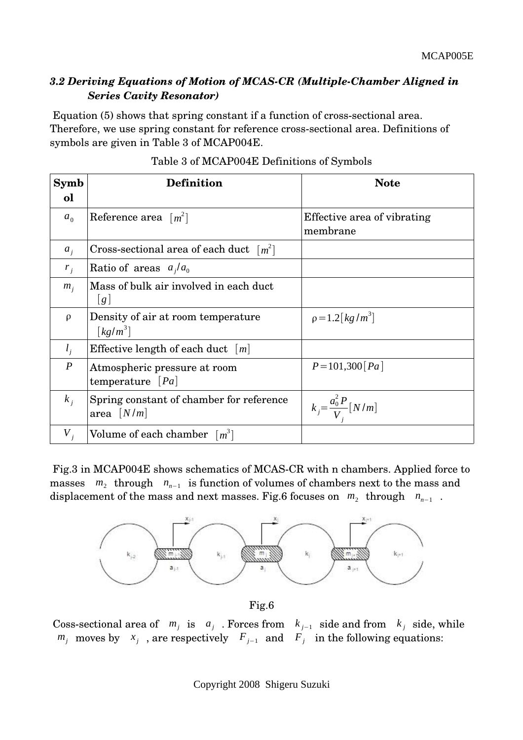## *3.2 Deriving Equations of Motion of MCASCR (MultipleChamber Aligned in Series Cavity Resonator)*

Equation (5) shows that spring constant if a function of cross-sectional area. Therefore, we use spring constant for reference cross-sectional area. Definitions of symbols are given in Table 3 of MCAP004E.

| Symb<br>ol       | <b>Definition</b>                                                     | <b>Note</b>                                |
|------------------|-----------------------------------------------------------------------|--------------------------------------------|
| a <sub>0</sub>   | Reference area $\lceil m^2 \rceil$                                    | Effective area of vibrating<br>membrane    |
| $a_i$            | Cross-sectional area of each duct $[m^2]$                             |                                            |
| $r_i$            | Ratio of areas $a_i/a_0$                                              |                                            |
| $m_i$            | Mass of bulk air involved in each duct<br> g                          |                                            |
| $\rho$           | Density of air at room temperature<br>$\lceil \mathit{kq/m}^3 \rceil$ | $\rho = 1.2 \left[ \frac{kg}{m^3} \right]$ |
| $l_i$            | Effective length of each duct $ m $                                   |                                            |
| $\boldsymbol{P}$ | Atmospheric pressure at room<br>temperature $[Pa]$                    | $P = 101,300$ [Pa]                         |
| $k_i$            | Spring constant of chamber for reference<br>area $[N/m]$              | $k_j = \frac{a_0^2 P}{V_i} [N/m]$          |
| $V_{i}$          | Volume of each chamber $\lceil m^3 \rceil$                            |                                            |

### Table 3 of MCAP004E Definitions of Symbols

Fig.3 in MCAP004E shows schematics of MCAS-CR with n chambers. Applied force to masses  $m_2$  through  $n_{n-1}$  is function of volumes of chambers next to the mass and displacement of the mass and next masses. Fig.6 focuses on  $m_2$  through  $n_{n-1}$ .



Fig.6

Coss-sectional area of  $m_j$  is  $a_j$ . Forces from  $k_{j-1}$  side and from  $k_j$  side, while  $m_j$  moves by  $x_j$ , are respectively  $F_{j-1}$  and  $F_j$  in the following equations: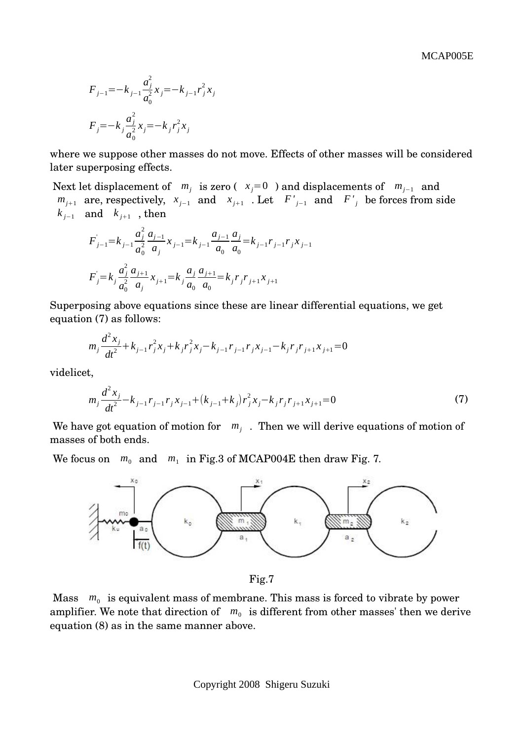MCAP005E

$$
F_{j-1} = -k_{j-1} \frac{a_j^2}{a_0^2} x_j = -k_{j-1} r_j^2 x_j
$$
  

$$
F_j = -k_j \frac{a_j^2}{a_0^2} x_j = -k_j r_j^2 x_j
$$

where we suppose other masses do not move. Effects of other masses will be considered later superposing effects.

Next let displacement of  $m_j$  is zero ( $x_j = 0$ ) and displacements of  $m_{j-1}$  and  $m_{j+1}$  are, respectively,  $x_{j-1}$  and  $x_{j+1}$ . Let  $F'_{j-1}$  and  $F'_{j}$  be forces from side  $k_{j-1}$  and  $k_{j+1}$ , then

$$
F'_{j-1} = k_{j-1} \frac{a_j^2}{a_0^2} \frac{a_{j-1}}{a_j} x_{j-1} = k_{j-1} \frac{a_{j-1}}{a_0} \frac{a_j}{a_0} = k_{j-1} r_{j-1} r_j x_{j-1}
$$
  

$$
F'_{j} = k_j \frac{a_j^2}{a_0^2} \frac{a_{j+1}}{a_j} x_{j+1} = k_j \frac{a_j}{a_0} \frac{a_{j+1}}{a_0} = k_j r_j r_{j+1} x_{j+1}
$$

Superposing above equations since these are linear differential equations, we get equation (7) as follows:

$$
m_j \frac{d^2 x_j}{dt^2} + k_{j-1} r_j^2 x_j + k_j r_j^2 x_j - k_{j-1} r_{j-1} r_j x_{j-1} - k_j r_j r_{j+1} x_{j+1} = 0
$$

videlicet,

$$
m_j \frac{d^2 x_j}{dt^2} - k_{j-1} r_{j-1} r_j x_{j-1} + (k_{j-1} + k_j) r_j^2 x_j - k_j r_j r_{j+1} x_{j+1} = 0
$$
\n(7)

We have got equation of motion for  $m_j$ . Then we will derive equations of motion of masses of both ends.

We focus on  $m_0$  and  $m_1$  in Fig.3 of MCAP004E then draw Fig. 7.



Fig.7

Mass  $m_0$  is equivalent mass of membrane. This mass is forced to vibrate by power amplifier. We note that direction of  $m_0$  is different from other masses' then we derive equation (8) as in the same manner above.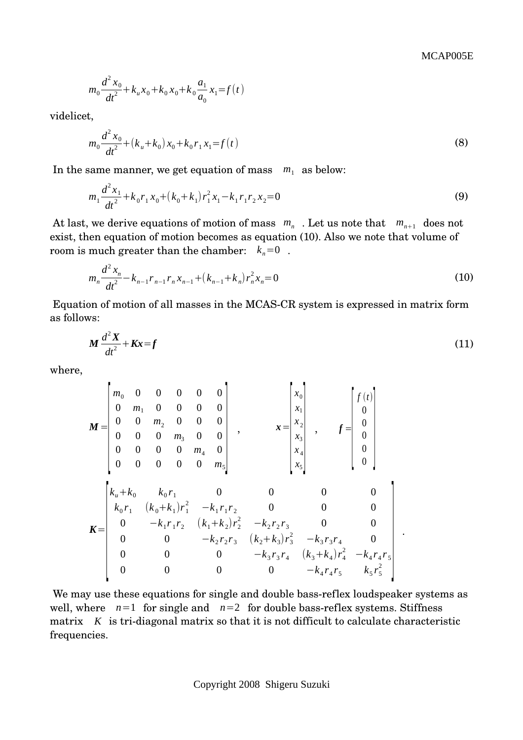.

$$
m_0 \frac{d^2 x_0}{dt^2} + k_u x_0 + k_0 x_0 + k_0 \frac{a_1}{a_0} x_1 = f(t)
$$

videlicet,

$$
m_0 \frac{d^2 x_0}{dt^2} + (k_u + k_0) x_0 + k_0 r_1 x_1 = f(t)
$$
\n(8)

In the same manner, we get equation of mass  $m_1$  as below:

$$
m_1 \frac{d^2 x_1}{dt^2} + k_0 r_1 x_0 + (k_0 + k_1) r_1^2 x_1 - k_1 r_1 r_2 x_2 = 0
$$
\n(9)

At last, we derive equations of motion of mass  $m_n$ . Let us note that  $m_{n+1}$  does not exist, then equation of motion becomes as equation (10). Also we note that volume of room is much greater than the chamber:  $k_n=0$ .

$$
m_n \frac{d^2 x_n}{dt^2} - k_{n-1} r_{n-1} r_n x_{n-1} + (k_{n-1} + k_n) r_n^2 x_n = 0
$$
\n(10)

Equation of motion of all masses in the MCAS-CR system is expressed in matrix form as follows:

$$
M\frac{d^2X}{dt^2} + Kx = f\tag{11}
$$

where,

$$
M = \begin{bmatrix} m_0 & 0 & 0 & 0 & 0 & 0 \ 0 & m_1 & 0 & 0 & 0 & 0 \ 0 & 0 & m_2 & 0 & 0 & 0 \ 0 & 0 & 0 & m_3 & 0 & 0 \ 0 & 0 & 0 & 0 & m_4 & 0 \ 0 & 0 & 0 & 0 & 0 & m_5 \end{bmatrix}, \qquad x = \begin{bmatrix} x_0 \\ x_1 \\ x_2 \\ x_3 \\ x_4 \\ x_5 \end{bmatrix}, \qquad f = \begin{bmatrix} f(t) \\ 0 \\ 0 \\ 0 \\ 0 \\ 0 \\ 0 \end{bmatrix}
$$

$$
K = \begin{bmatrix} k_u + k_0 & k_0 r_1 & 0 & 0 & 0 & 0 \ k_0 r_1 & (k_0 + k_1)r_1^2 & -k_1 r_1 r_2 & 0 & 0 & 0 \ 0 & -k_1 r_1 r_2 & (k_1 + k_2)r_2^2 & -k_2 r_2 r_3 & 0 & 0 \ 0 & 0 & -k_2 r_2 r_3 & (k_2 + k_3)r_3^2 & -k_3 r_3 r_4 & 0 \ 0 & 0 & 0 & -k_3 r_3 r_4 & (k_3 + k_4)r_4^2 & -k_4 r_4 r_5 \ 0 & 0 & 0 & 0 & -k_4 r_4 r_5 & k_5 r_5^2 \end{bmatrix}.
$$

We may use these equations for single and double bass-reflex loudspeaker systems as well, where  $n=1$  for single and  $n=2$  for double bass-reflex systems. Stiffness matrix  $K$  is tri-diagonal matrix so that it is not difficult to calculate characteristic frequencies.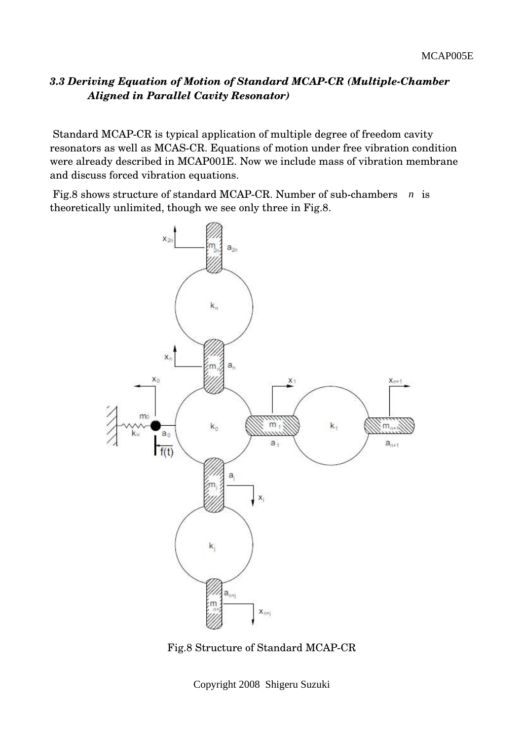## *3.3 Deriving Equation of Motion of Standard MCAPCR (MultipleChamber Aligned in Parallel Cavity Resonator)*

 Standard MCAPCR is typical application of multiple degree of freedom cavity resonators as well as MCAS-CR. Equations of motion under free vibration condition were already described in MCAP001E. Now we include mass of vibration membrane and discuss forced vibration equations.

Fig.8 shows structure of standard MCAP-CR. Number of sub-chambers *n* is theoretically unlimited, though we see only three in Fig.8.



Fig.8 Structure of Standard MCAPCR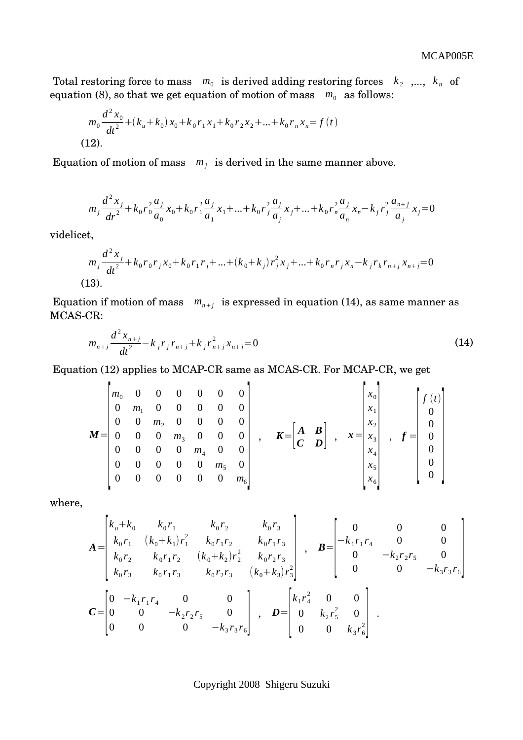Total restoring force to mass  $m_0$  is derived adding restoring forces  $k_2$  ,...,  $k_n$  of equation (8), so that we get equation of motion of mass  $m_0$  as follows:

$$
m_0 \frac{d^2 x_0}{dt^2} + (k_u + k_0) x_0 + k_0 r_1 x_1 + k_0 r_2 x_2 + \dots + k_0 r_n x_n = f(t)
$$
  
(12).

Equation of motion of mass  $m_j$  is derived in the same manner above.

$$
m_j \frac{d^2 x_j}{dr^2} + k_0 r_0^2 \frac{a_j}{a_0} x_0 + k_0 r_1^2 \frac{a_j}{a_1} x_1 + \dots + k_0 r_j^2 \frac{a_j}{a_j} x_j + \dots + k_0 r_n^2 \frac{a_j}{a_n} x_n - k_j r_j^2 \frac{a_{n+j}}{a_j} x_j = 0
$$

videlicet,

$$
m_j \frac{d^2 x_j}{dt^2} + k_0 r_0 r_j x_0 + k_0 r_1 r_j + \dots + (k_0 + k_j) r_j^2 x_j + \dots + k_0 r_n r_j x_n - k_j r_k r_{n+j} x_{n+j} = 0
$$
  
(13).

Equation if motion of mass  $m_{n+j}$  is expressed in equation (14), as same manner as MCAS-CR:

$$
m_{n+j}\frac{d^2x_{n+j}}{dt^2} - k_jr_jr_{n+j} + k_jr_{n+j}^2x_{n+j} = 0
$$
\n(14)

Equation (12) applies to MCAP-CR same as MCAS-CR. For MCAP-CR, we get

$$
M = \begin{bmatrix} m_0 & 0 & 0 & 0 & 0 & 0 & 0 \\ 0 & m_1 & 0 & 0 & 0 & 0 & 0 \\ 0 & 0 & m_2 & 0 & 0 & 0 & 0 \\ 0 & 0 & 0 & m_3 & 0 & 0 & 0 \\ 0 & 0 & 0 & 0 & m_4 & 0 & 0 \\ 0 & 0 & 0 & 0 & 0 & m_5 & 0 \\ 0 & 0 & 0 & 0 & 0 & 0 & m_6 \end{bmatrix}, \quad K = \begin{bmatrix} A & B \\ C & D \end{bmatrix}, \quad x = \begin{bmatrix} x_0 \\ x_1 \\ x_2 \\ x_3 \\ x_4 \\ x_5 \\ x_6 \end{bmatrix}, \quad f = \begin{bmatrix} f(t) \\ 0 \\ 0 \\ 0 \\ 0 \\ 0 \\ 0 \end{bmatrix}
$$

where,

 $\mathbf{r}$ 

$$
A = \begin{bmatrix} k_u + k_0 & k_0 r_1 & k_0 r_2 & k_0 r_3 \\ k_0 r_1 & (k_0 + k_1) r_1^2 & k_0 r_1 r_2 & k_0 r_1 r_3 \\ k_0 r_2 & k_0 r_1 r_2 & (k_0 + k_2) r_2^2 & k_0 r_2 r_3 \\ k_0 r_3 & k_0 r_1 r_3 & k_0 r_2 r_3 & (k_0 + k_3) r_3^2 \end{bmatrix}, \quad B = \begin{bmatrix} 0 & 0 & 0 \\ -k_1 r_1 r_4 & 0 & 0 \\ 0 & -k_2 r_2 r_5 & 0 \\ 0 & 0 & -k_3 r_3 r_6 \end{bmatrix}
$$

$$
C = \begin{bmatrix} 0 & -k_1 r_1 r_4 & 0 & 0 \\ 0 & 0 & -k_2 r_2 r_5 & 0 \\ 0 & 0 & 0 & -k_3 r_3 r_6 \end{bmatrix}, \quad D = \begin{bmatrix} k_1 r_4^2 & 0 & 0 \\ 0 & k_2 r_5^2 & 0 \\ 0 & 0 & k_3 r_6^2 \end{bmatrix}.
$$